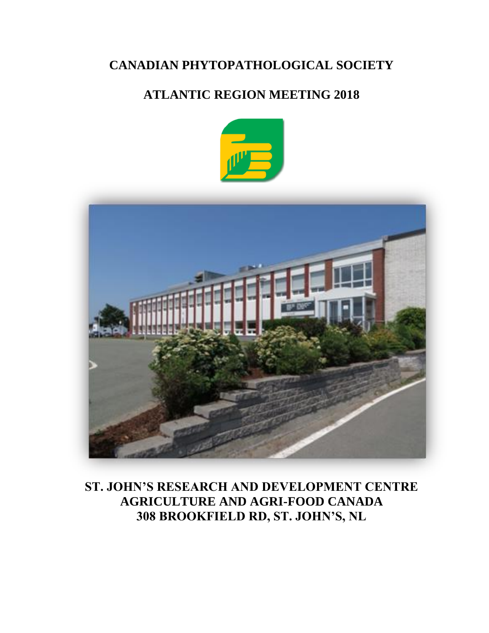# **CANADIAN PHYTOPATHOLOGICAL SOCIETY**

# **ATLANTIC REGION MEETING 2018**





**ST. JOHN'S RESEARCH AND DEVELOPMENT CENTRE AGRICULTURE AND AGRI-FOOD CANADA 308 BROOKFIELD RD, ST. JOHN'S, NL**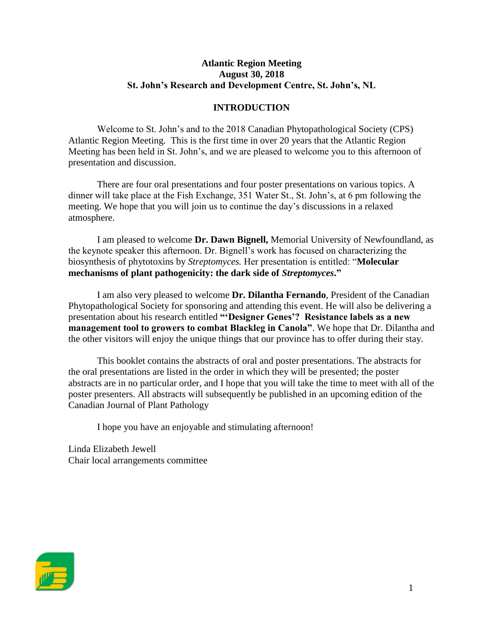## **Atlantic Region Meeting August 30, 2018 St. John's Research and Development Centre, St. John's, NL**

## **INTRODUCTION**

Welcome to St. John's and to the 2018 Canadian Phytopathological Society (CPS) Atlantic Region Meeting. This is the first time in over 20 years that the Atlantic Region Meeting has been held in St. John's, and we are pleased to welcome you to this afternoon of presentation and discussion.

There are four oral presentations and four poster presentations on various topics. A dinner will take place at the Fish Exchange, 351 Water St., St. John's, at 6 pm following the meeting. We hope that you will join us to continue the day's discussions in a relaxed atmosphere.

I am pleased to welcome **Dr. Dawn Bignell,** Memorial University of Newfoundland, as the keynote speaker this afternoon. Dr. Bignell's work has focused on characterizing the biosynthesis of phytotoxins by *Streptomyces.* Her presentation is entitled: "**Molecular mechanisms of plant pathogenicity: the dark side of** *Streptomyces***."**

I am also very pleased to welcome **Dr. Dilantha Fernando**, President of the Canadian Phytopathological Society for sponsoring and attending this event. He will also be delivering a presentation about his research entitled **"'Designer Genes'? Resistance labels as a new management tool to growers to combat Blackleg in Canola"**. We hope that Dr. Dilantha and the other visitors will enjoy the unique things that our province has to offer during their stay.

This booklet contains the abstracts of oral and poster presentations. The abstracts for the oral presentations are listed in the order in which they will be presented; the poster abstracts are in no particular order, and I hope that you will take the time to meet with all of the poster presenters. All abstracts will subsequently be published in an upcoming edition of the Canadian Journal of Plant Pathology

I hope you have an enjoyable and stimulating afternoon!

Linda Elizabeth Jewell Chair local arrangements committee

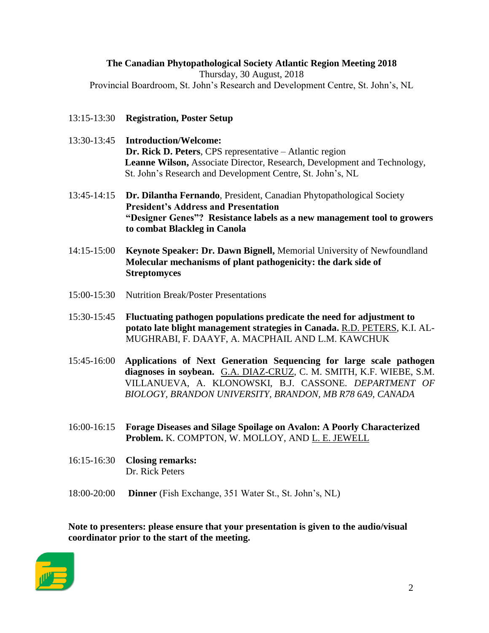## **The Canadian Phytopathological Society Atlantic Region Meeting 2018** Thursday, 30 August, 2018 Provincial Boardroom, St. John's Research and Development Centre, St. John's, NL

- 13:15-13:30 **Registration, Poster Setup**
- 13:30-13:45 **Introduction/Welcome: Dr. Rick D. Peters**, CPS representative – Atlantic region **Leanne Wilson,** Associate Director, Research, Development and Technology, St. John's Research and Development Centre, St. John's, NL
- 13:45-14:15 **Dr. Dilantha Fernando**, President, Canadian Phytopathological Society **President's Address and Presentation "Designer Genes"? Resistance labels as a new management tool to growers to combat Blackleg in Canola**
- 14:15-15:00 **Keynote Speaker: Dr. Dawn Bignell,** Memorial University of Newfoundland **Molecular mechanisms of plant pathogenicity: the dark side of Streptomyces**
- 15:00-15:30 Nutrition Break/Poster Presentations
- 15:30-15:45 **Fluctuating pathogen populations predicate the need for adjustment to potato late blight management strategies in Canada.** R.D. PETERS, K.I. AL-MUGHRABI, F. DAAYF, A. MACPHAIL AND L.M. KAWCHUK
- 15:45-16:00 **Applications of Next Generation Sequencing for large scale pathogen diagnoses in soybean.** G.A. DIAZ-CRUZ, C. M. SMITH, K.F. WIEBE, S.M. VILLANUEVA, A. KLONOWSKI, B.J. CASSONE. *DEPARTMENT OF BIOLOGY, BRANDON UNIVERSITY, BRANDON, MB R78 6A9, CANADA*
- 16:00-16:15 **Forage Diseases and Silage Spoilage on Avalon: A Poorly Characterized Problem.** K. COMPTON, W. MOLLOY, AND L. E. JEWELL
- 16:15-16:30 **Closing remarks:** Dr. Rick Peters
- 18:00-20:00 **Dinner** (Fish Exchange, 351 Water St., St. John's, NL)

**Note to presenters: please ensure that your presentation is given to the audio/visual coordinator prior to the start of the meeting.**

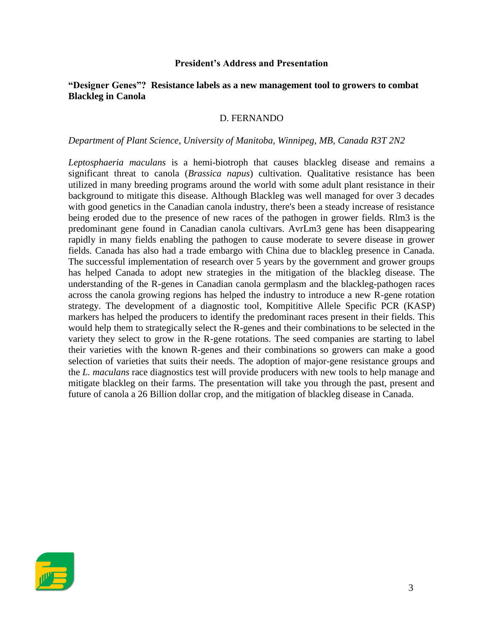#### **President's Address and Presentation**

#### **"Designer Genes"? Resistance labels as a new management tool to growers to combat Blackleg in Canola**

#### D. FERNANDO

#### *Department of Plant Science, University of Manitoba, Winnipeg, MB, Canada R3T 2N2*

*Leptosphaeria maculans* is a hemi-biotroph that causes blackleg disease and remains a significant threat to canola (*Brassica napus*) cultivation. Qualitative resistance has been utilized in many breeding programs around the world with some adult plant resistance in their background to mitigate this disease. Although Blackleg was well managed for over 3 decades with good genetics in the Canadian canola industry, there's been a steady increase of resistance being eroded due to the presence of new races of the pathogen in grower fields. Rlm3 is the predominant gene found in Canadian canola cultivars. AvrLm3 gene has been disappearing rapidly in many fields enabling the pathogen to cause moderate to severe disease in grower fields. Canada has also had a trade embargo with China due to blackleg presence in Canada. The successful implementation of research over 5 years by the government and grower groups has helped Canada to adopt new strategies in the mitigation of the blackleg disease. The understanding of the R-genes in Canadian canola germplasm and the blackleg-pathogen races across the canola growing regions has helped the industry to introduce a new R-gene rotation strategy. The development of a diagnostic tool, Kompititive Allele Specific PCR (KASP) markers has helped the producers to identify the predominant races present in their fields. This would help them to strategically select the R-genes and their combinations to be selected in the variety they select to grow in the R-gene rotations. The seed companies are starting to label their varieties with the known R-genes and their combinations so growers can make a good selection of varieties that suits their needs. The adoption of major-gene resistance groups and the *L. maculans* race diagnostics test will provide producers with new tools to help manage and mitigate blackleg on their farms. The presentation will take you through the past, present and future of canola a 26 Billion dollar crop, and the mitigation of blackleg disease in Canada.

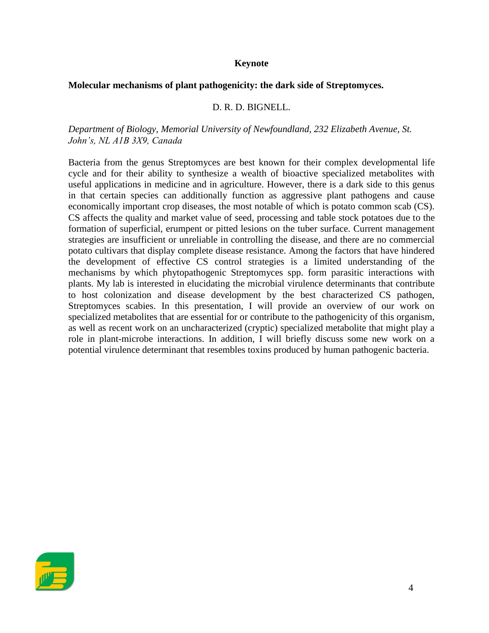#### **Keynote**

#### **Molecular mechanisms of plant pathogenicity: the dark side of Streptomyces.**

#### D. R. D. BIGNELL.

#### *Department of Biology, Memorial University of Newfoundland, 232 Elizabeth Avenue, St. John's, NL A1B 3X9, Canada*

Bacteria from the genus Streptomyces are best known for their complex developmental life cycle and for their ability to synthesize a wealth of bioactive specialized metabolites with useful applications in medicine and in agriculture. However, there is a dark side to this genus in that certain species can additionally function as aggressive plant pathogens and cause economically important crop diseases, the most notable of which is potato common scab (CS). CS affects the quality and market value of seed, processing and table stock potatoes due to the formation of superficial, erumpent or pitted lesions on the tuber surface. Current management strategies are insufficient or unreliable in controlling the disease, and there are no commercial potato cultivars that display complete disease resistance. Among the factors that have hindered the development of effective CS control strategies is a limited understanding of the mechanisms by which phytopathogenic Streptomyces spp. form parasitic interactions with plants. My lab is interested in elucidating the microbial virulence determinants that contribute to host colonization and disease development by the best characterized CS pathogen, Streptomyces scabies. In this presentation, I will provide an overview of our work on specialized metabolites that are essential for or contribute to the pathogenicity of this organism, as well as recent work on an uncharacterized (cryptic) specialized metabolite that might play a role in plant-microbe interactions. In addition, I will briefly discuss some new work on a potential virulence determinant that resembles toxins produced by human pathogenic bacteria.

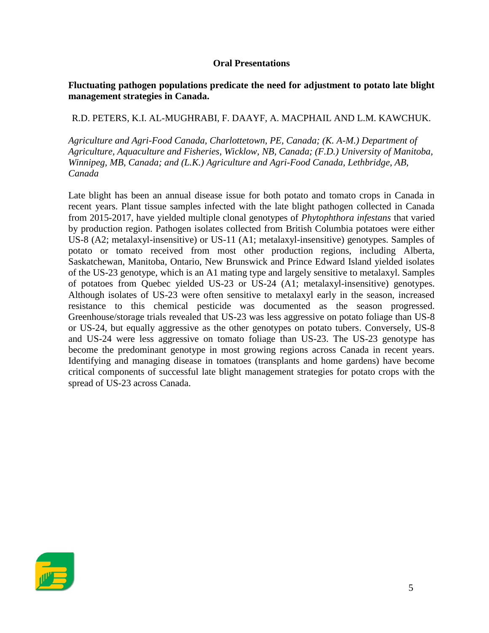### **Oral Presentations**

## **Fluctuating pathogen populations predicate the need for adjustment to potato late blight management strategies in Canada.**

# R.D. PETERS, K.I. AL-MUGHRABI, F. DAAYF, A. MACPHAIL AND L.M. KAWCHUK.

*Agriculture and Agri-Food Canada, Charlottetown, PE, Canada; (K. A-M.) Department of Agriculture, Aquaculture and Fisheries, Wicklow, NB, Canada; (F.D.) University of Manitoba, Winnipeg, MB, Canada; and (L.K.) Agriculture and Agri-Food Canada, Lethbridge, AB, Canada*

Late blight has been an annual disease issue for both potato and tomato crops in Canada in recent years. Plant tissue samples infected with the late blight pathogen collected in Canada from 2015-2017, have yielded multiple clonal genotypes of *Phytophthora infestans* that varied by production region. Pathogen isolates collected from British Columbia potatoes were either US-8 (A2; metalaxyl-insensitive) or US-11 (A1; metalaxyl-insensitive) genotypes. Samples of potato or tomato received from most other production regions, including Alberta, Saskatchewan, Manitoba, Ontario, New Brunswick and Prince Edward Island yielded isolates of the US-23 genotype, which is an A1 mating type and largely sensitive to metalaxyl. Samples of potatoes from Quebec yielded US-23 or US-24 (A1; metalaxyl-insensitive) genotypes. Although isolates of US-23 were often sensitive to metalaxyl early in the season, increased resistance to this chemical pesticide was documented as the season progressed. Greenhouse/storage trials revealed that US-23 was less aggressive on potato foliage than US-8 or US-24, but equally aggressive as the other genotypes on potato tubers. Conversely, US-8 and US-24 were less aggressive on tomato foliage than US-23. The US-23 genotype has become the predominant genotype in most growing regions across Canada in recent years. Identifying and managing disease in tomatoes (transplants and home gardens) have become critical components of successful late blight management strategies for potato crops with the spread of US-23 across Canada.

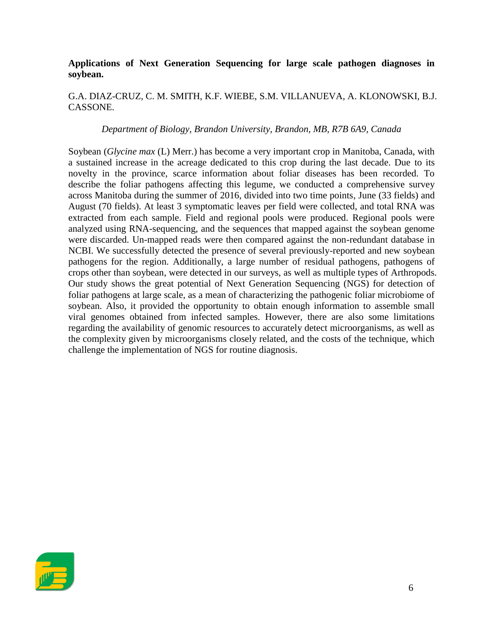## **Applications of Next Generation Sequencing for large scale pathogen diagnoses in soybean.**

## G.A. DIAZ-CRUZ, C. M. SMITH, K.F. WIEBE, S.M. VILLANUEVA, A. KLONOWSKI, B.J. CASSONE.

#### *Department of Biology, Brandon University, Brandon, MB, R7B 6A9, Canada*

Soybean (*Glycine max* (L) Merr.) has become a very important crop in Manitoba, Canada, with a sustained increase in the acreage dedicated to this crop during the last decade. Due to its novelty in the province, scarce information about foliar diseases has been recorded. To describe the foliar pathogens affecting this legume, we conducted a comprehensive survey across Manitoba during the summer of 2016, divided into two time points, June (33 fields) and August (70 fields). At least 3 symptomatic leaves per field were collected, and total RNA was extracted from each sample. Field and regional pools were produced. Regional pools were analyzed using RNA-sequencing, and the sequences that mapped against the soybean genome were discarded. Un-mapped reads were then compared against the non-redundant database in NCBI. We successfully detected the presence of several previously-reported and new soybean pathogens for the region. Additionally, a large number of residual pathogens, pathogens of crops other than soybean, were detected in our surveys, as well as multiple types of Arthropods. Our study shows the great potential of Next Generation Sequencing (NGS) for detection of foliar pathogens at large scale, as a mean of characterizing the pathogenic foliar microbiome of soybean. Also, it provided the opportunity to obtain enough information to assemble small viral genomes obtained from infected samples. However, there are also some limitations regarding the availability of genomic resources to accurately detect microorganisms, as well as the complexity given by microorganisms closely related, and the costs of the technique, which challenge the implementation of NGS for routine diagnosis.

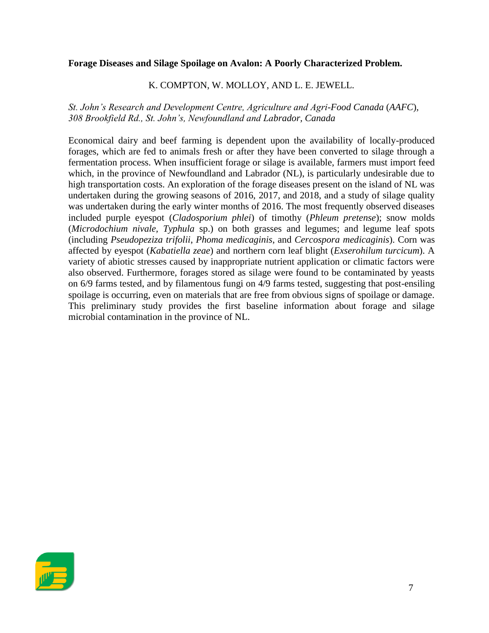#### **Forage Diseases and Silage Spoilage on Avalon: A Poorly Characterized Problem.**

## K. COMPTON, W. MOLLOY, AND L. E. JEWELL.

*St. John's Research and Development Centre, Agriculture and Agri-Food Canada* (*AAFC*)*, 308 Brookfield Rd., St. John's, Newfoundland and Labrador, Canada*

Economical dairy and beef farming is dependent upon the availability of locally-produced forages, which are fed to animals fresh or after they have been converted to silage through a fermentation process. When insufficient forage or silage is available, farmers must import feed which, in the province of Newfoundland and Labrador (NL), is particularly undesirable due to high transportation costs. An exploration of the forage diseases present on the island of NL was undertaken during the growing seasons of 2016, 2017, and 2018, and a study of silage quality was undertaken during the early winter months of 2016. The most frequently observed diseases included purple eyespot (*Cladosporium phlei*) of timothy (*Phleum pretense*); snow molds (*Microdochium nivale, Typhula* sp.) on both grasses and legumes; and legume leaf spots (including *Pseudopeziza trifolii*, *Phoma medicaginis*, and *Cercospora medicaginis*). Corn was affected by eyespot (*Kabatiella zeae*) and northern corn leaf blight (*Exserohilum turcicum*). A variety of abiotic stresses caused by inappropriate nutrient application or climatic factors were also observed. Furthermore, forages stored as silage were found to be contaminated by yeasts on 6/9 farms tested, and by filamentous fungi on 4/9 farms tested, suggesting that post-ensiling spoilage is occurring, even on materials that are free from obvious signs of spoilage or damage. This preliminary study provides the first baseline information about forage and silage microbial contamination in the province of NL.

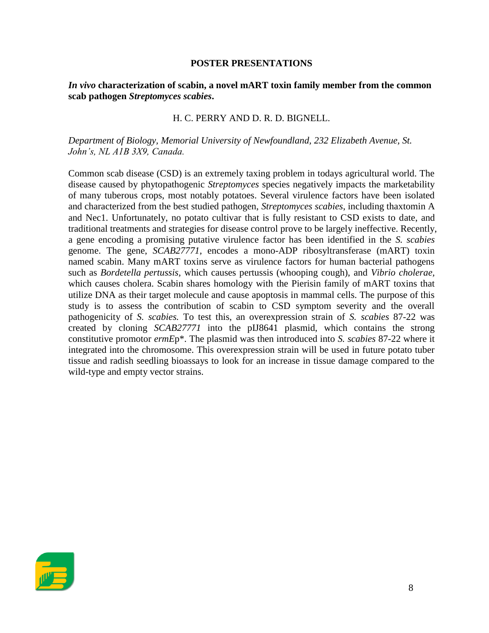#### **POSTER PRESENTATIONS**

## *In vivo* **characterization of scabin, a novel mART toxin family member from the common scab pathogen** *Streptomyces scabies***.**

## H. C. PERRY AND D. R. D. BIGNELL.

## *Department of Biology, Memorial University of Newfoundland, 232 Elizabeth Avenue, St. John's, NL A1B 3X9, Canada.*

Common scab disease (CSD) is an extremely taxing problem in todays agricultural world. The disease caused by phytopathogenic *Streptomyces* species negatively impacts the marketability of many tuberous crops, most notably potatoes. Several virulence factors have been isolated and characterized from the best studied pathogen, *Streptomyces scabies*, including thaxtomin A and Nec1. Unfortunately, no potato cultivar that is fully resistant to CSD exists to date, and traditional treatments and strategies for disease control prove to be largely ineffective. Recently, a gene encoding a promising putative virulence factor has been identified in the *S. scabies*  genome. The gene, *SCAB27771,* encodes a mono-ADP ribosyltransferase (mART) toxin named scabin. Many mART toxins serve as virulence factors for human bacterial pathogens such as *Bordetella pertussis,* which causes pertussis (whooping cough), and *Vibrio cholerae,*  which causes cholera. Scabin shares homology with the Pierisin family of mART toxins that utilize DNA as their target molecule and cause apoptosis in mammal cells. The purpose of this study is to assess the contribution of scabin to CSD symptom severity and the overall pathogenicity of *S. scabies.* To test this, an overexpression strain of *S. scabies* 87-22 was created by cloning *SCAB27771* into the pIJ8641 plasmid, which contains the strong constitutive promotor *ermE*p\*. The plasmid was then introduced into *S. scabies* 87-22 where it integrated into the chromosome. This overexpression strain will be used in future potato tuber tissue and radish seedling bioassays to look for an increase in tissue damage compared to the wild-type and empty vector strains.

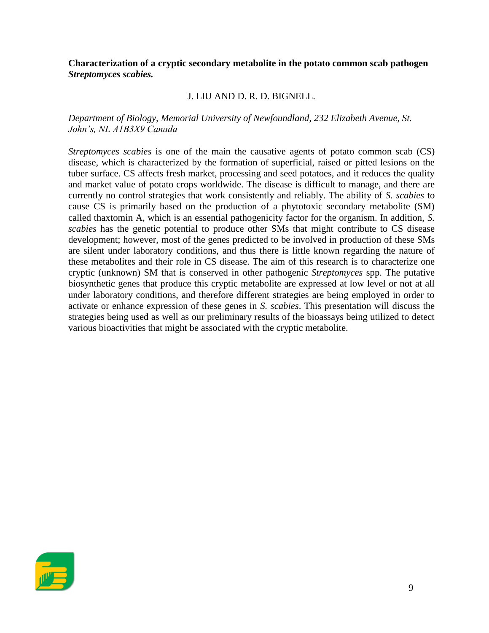#### **Characterization of a cryptic secondary metabolite in the potato common scab pathogen**  *Streptomyces scabies.*

## J. LIU AND D. R. D. BIGNELL.

## *Department of Biology, Memorial University of Newfoundland, 232 Elizabeth Avenue, St. John's, NL A1B3X9 Canada*

*Streptomyces scabies* is one of the main the causative agents of potato common scab (CS) disease, which is characterized by the formation of superficial, raised or pitted lesions on the tuber surface. CS affects fresh market, processing and seed potatoes, and it reduces the quality and market value of potato crops worldwide. The disease is difficult to manage, and there are currently no control strategies that work consistently and reliably. The ability of *S. scabies* to cause CS is primarily based on the production of a phytotoxic secondary metabolite (SM) called thaxtomin A, which is an essential pathogenicity factor for the organism. In addition, *S. scabies* has the genetic potential to produce other SMs that might contribute to CS disease development; however, most of the genes predicted to be involved in production of these SMs are silent under laboratory conditions, and thus there is little known regarding the nature of these metabolites and their role in CS disease. The aim of this research is to characterize one cryptic (unknown) SM that is conserved in other pathogenic *Streptomyces* spp. The putative biosynthetic genes that produce this cryptic metabolite are expressed at low level or not at all under laboratory conditions, and therefore different strategies are being employed in order to activate or enhance expression of these genes in *S. scabies*. This presentation will discuss the strategies being used as well as our preliminary results of the bioassays being utilized to detect various bioactivities that might be associated with the cryptic metabolite.

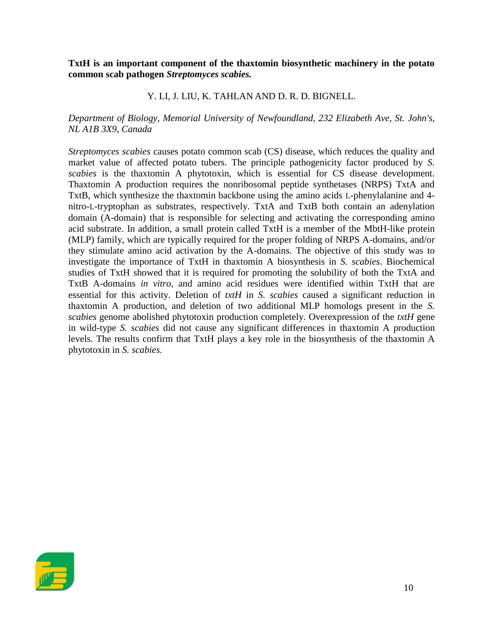**TxtH is an important component of the thaxtomin biosynthetic machinery in the potato common scab pathogen** *Streptomyces scabies.* 

## Y. LI, J. LIU, K. TAHLAN AND D. R. D. BIGNELL.

## *Department of Biology, Memorial University of Newfoundland, 232 Elizabeth Ave, St. John's, NL A1B 3X9, Canada*

*Streptomyces scabies* causes potato common scab (CS) disease, which reduces the quality and market value of affected potato tubers. The principle pathogenicity factor produced by *S. scabies* is the thaxtomin A phytotoxin, which is essential for CS disease development. Thaxtomin A production requires the nonribosomal peptide synthetases (NRPS) TxtA and TxtB, which synthesize the thaxtomin backbone using the amino acids L-phenylalanine and 4 nitro-L-tryptophan as substrates, respectively. TxtA and TxtB both contain an adenylation domain (A-domain) that is responsible for selecting and activating the corresponding amino acid substrate. In addition, a small protein called TxtH is a member of the MbtH-like protein (MLP) family, which are typically required for the proper folding of NRPS A-domains, and/or they stimulate amino acid activation by the A-domains. The objective of this study was to investigate the importance of TxtH in thaxtomin A biosynthesis in *S. scabies*. Biochemical studies of TxtH showed that it is required for promoting the solubility of both the TxtA and TxtB A-domains *in vitro*, and amino acid residues were identified within TxtH that are essential for this activity. Deletion of *txtH* in *S. scabies* caused a significant reduction in thaxtomin A production, and deletion of two additional MLP homologs present in the *S. scabies* genome abolished phytotoxin production completely. Overexpression of the *txtH* gene in wild-type *S. scabies* did not cause any significant differences in thaxtomin A production levels. The results confirm that TxtH plays a key role in the biosynthesis of the thaxtomin A phytotoxin in *S. scabies.*